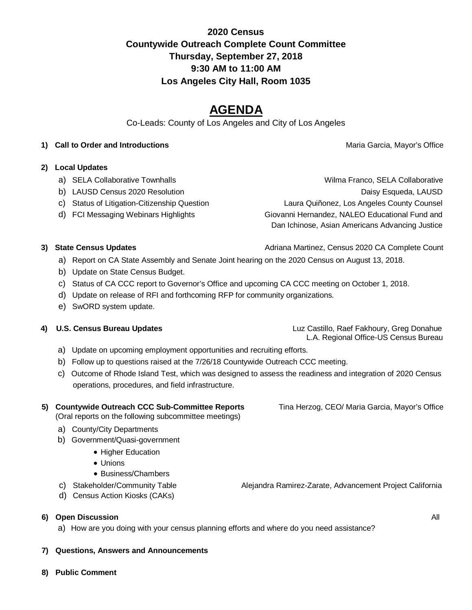# **2020 Census Countywide Outreach Complete Count Committee Thursday, September 27, 2018 9:30 AM to 11:00 AM Los Angeles City Hall, Room 1035**

# **AGENDA**

Co-Leads: County of Los Angeles and City of Los Angeles

### **1) Call to Order and Introductions Maria Garcia, Mayor's Office Maria Garcia, Mayor's Office**

### **2) Local Updates**

- 
- 
- 
- 

a) SELA Collaborative Townhalls **WALLA COLLA COLLA COLLA COLLA COLLA** COLLA COLLA COLLA COLLA COLLA COLLA COLLA b) LAUSD Census 2020 Resolution **Daisy Esqueda, LAUSD** Daisy Esqueda, LAUSD c) Status of Litigation-Citizenship Question Laura Quiñonez, Los Angeles County Counsel d) FCI Messaging Webinars Highlights Giovanni Hernandez, NALEO Educational Fund and Dan Ichinose, Asian Americans Advancing Justice

- **3) State Census Updates Adriana Martinez, Census 2020 CA Complete Count Adriana Martinez, Census 2020 CA Complete Count** 
	- a) Report on CA State Assembly and Senate Joint hearing on the 2020 Census on August 13, 2018.
	- b) Update on State Census Budget.
	- c) Status of CA CCC report to Governor's Office and upcoming CA CCC meeting on October 1, 2018.
	- d) Update on release of RFI and forthcoming RFP for community organizations.
	- e) SwORD system update.

 **4) U.S. Census Bureau Updates** Luz Castillo, Raef Fakhoury, Greg Donahue L.A. Regional Office-US Census Bureau

- a) Update on upcoming employment opportunities and recruiting efforts.
- b) Follow up to questions raised at the 7/26/18 Countywide Outreach CCC meeting.
- c) Outcome of Rhode Island Test, which was designed to assess the readiness and integration of 2020 Census operations, procedures, and field infrastructure.

## **5) Countywide Outreach CCC Sub-Committee Reports** Tina Herzog, CEO/ Maria Garcia, Mayor's Office

(Oral reports on the following subcommittee meetings)

### a) County/City Departments

- b) Government/Quasi-government
	- Higher Education
	- Unions
	- Business/Chambers
- c) Stakeholder/Community Table Alejandra Ramirez-Zarate, Advancement Project California
- d) Census Action Kiosks (CAKs)

- **6) Open Discussion** All
	- a) How are you doing with your census planning efforts and where do you need assistance?

### **7) Questions, Answers and Announcements**

**8) Public Comment**